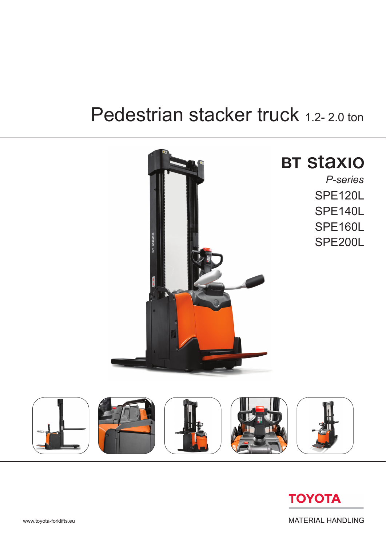# Pedestrian stacker truck 1.2-2.0 ton





**MATERIAL HANDLING**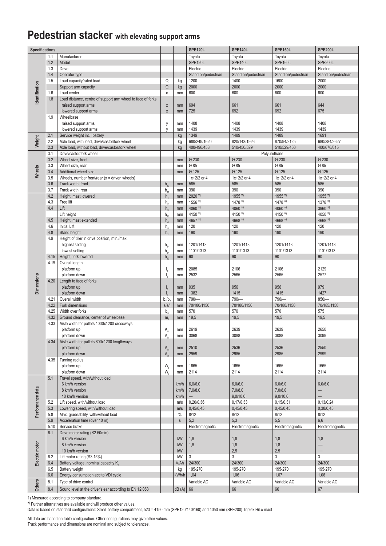### **Pedestrian stacker with elevating support arms**

| <b>Specifications</b> |      |                                                             |                            |              | <b>SPE120L</b>      | <b>SPE140L</b>       | <b>SPE160L</b>       | <b>SPE200L</b>           |
|-----------------------|------|-------------------------------------------------------------|----------------------------|--------------|---------------------|----------------------|----------------------|--------------------------|
|                       | 1.1  | Manufacturer                                                |                            |              | Toyota              | Toyota               | Toyota               | Toyota                   |
|                       | 1.2  | Model                                                       |                            |              | <b>SPE120L</b>      | SPE140L              | <b>SPE160L</b>       | SPE200L                  |
|                       | 1.3  | <b>Drive</b>                                                |                            |              | Electric            | Electric             | Electric             | Electric                 |
|                       | 1.4  | Operator type                                               |                            |              | Stand on/pedestrian | Stand on/pedestrian  | Stand on/pedestrian  | Stand on/pedestrian      |
|                       | 1.5  | Load capacity/rated load                                    | Q                          | kg           | 1200                | 1400                 | 1600                 | 2000                     |
| dentification         |      | Support arm capacity                                        | Q                          | kg           | 2000                | 2000                 | 2000                 | 2000                     |
|                       | 1.6  | Load center                                                 | C                          | mm           | 600                 | 600                  | 600                  | 600                      |
|                       | 1.8  | Load distance, centre of support arm wheel to face of forks |                            |              |                     |                      |                      |                          |
|                       |      | raised support arms                                         | X                          | mm           | 694                 | 661                  | 661                  | 644                      |
|                       |      | lowered support arms                                        | $\mathsf X$                | mm           | 725                 | 692                  | 692                  | 675                      |
|                       | 1.9  | Wheelbase                                                   |                            |              |                     |                      |                      |                          |
|                       |      | raised support arms                                         | y                          | mm           | 1408                | 1408                 | 1408                 | 1408                     |
|                       |      | lowered support arms                                        | V                          | mm           | 1439                | 1439                 | 1439                 | 1439                     |
|                       | 2.1  | Service weight incl. battery                                |                            | kg           | 1349                | 1489                 | 1489                 | 1691                     |
| Weight                | 2.2  | Axle load, with load, drive/castor/fork wheel               |                            | kg           | 680/249/1620        | 820/143/1926         | 870/94/2125          | 680/384/2627             |
|                       | 2.3  | Axle load, without load, drive/castor/fork wheel            |                            | kg           | 400/496/453         | 510/450/529          | 510/529/450          | 400/676/615              |
|                       | 3.1  | Drive/castor/fork wheel                                     |                            |              |                     |                      | Polyurethane         |                          |
|                       | 3.2  | Wheel size, front                                           |                            | mm           | Ø 230               | Ø 230                | Ø 230                | Ø 230                    |
| Wheels                | 3.3  | Wheel size, rear                                            |                            | mm           | Ø 85                | Ø 85                 | Ø85                  | Ø 85                     |
|                       | 3.4  | Additional wheel size                                       |                            | mm           | Ø 125               | Ø 125                | Ø 125                | Ø 125                    |
|                       | 3.5  | Wheels, number front/rear $(x =$ driven wheels)             |                            |              | $1x + 2/2$ or 4     | $1x + 2/2$ or 4      | $1x + 2/2$ or 4      | $1x+2/2$ or 4            |
|                       | 3.6  | Track width, front                                          | $b_{10}$                   | mm           | 585                 | 585                  | 585                  | 585                      |
|                       | 3.7  | Track width, rear                                           | b,                         | mm           | 390                 | 390                  | 390                  | 390                      |
|                       | 4.2  | Height, mast lowered                                        | h,                         | mm           | $2020$ *)           | $1955$ *)            | $1955$ <sup>*)</sup> | $1955$ <sup>*)</sup>     |
|                       | 4.3  | Free lift                                                   | $h_{\alpha}$               | mm           | $1556$ *)           | $1478$ <sup>*)</sup> | $1478$ <sup>*)</sup> | $1378$ <sup>*)</sup>     |
|                       | 4.4  | Lift                                                        | $h_{\rm a}$                | mm           | 4060 $*$            | 4060 $*$             | 4060 $*$             | $3960$ *)                |
|                       |      | Lift height                                                 | $h_{23}$                   | mm           | 4150 $*$            | 4150 *)              | 4150 *)              | 4050 *)                  |
|                       | 4.5  | Height, mast extended                                       | $h_{\scriptscriptstyle A}$ | mm           | 4657 *)             | 4668 *)              | 4668 *)              | 4668 *)                  |
|                       | 4.6  | <b>Initial Lift</b>                                         | $h_{\epsilon}$             | mm           | 120                 | 120                  | 120                  | 120                      |
|                       | 4.8  | Stand height                                                | h <sub>2</sub>             | mm           | 190                 | 190                  | 190                  | 190                      |
|                       | 4.9  | Height of tiller in drive position, min./max.               |                            |              |                     |                      |                      |                          |
|                       |      | highest setting                                             | $h_{14}$                   | mm           | 1201/1413           | 1201/1413            | 1201/1413            | 1201/1413                |
|                       |      | lowest setting                                              | $h_{\mu}$                  | mm           | 1101/1313           | 1101/1313            | 1101/1313            | 1101/1313                |
|                       | 4.15 | Height, fork lowered                                        | $h_{13}$                   | mm           | 90                  | 90                   | 90                   | 90                       |
|                       | 4.19 | Overall length                                              |                            |              |                     |                      |                      |                          |
|                       |      | platform up                                                 |                            | mm           | 2085                | 2106                 | 2106                 | 2129                     |
| <b>Dimensions</b>     |      | platform down                                               | I.                         | mm           | 2532                | 2565                 | 2565                 | 2577                     |
|                       | 4.20 | Length to face of forks                                     |                            |              |                     |                      |                      |                          |
|                       |      | platform up                                                 | $\mathsf{I}_{2}$           | mm           | 935                 | 956                  | 956                  | 979                      |
|                       |      | platform down                                               |                            | mm           | 1382                | 1415                 | 1415                 | 1427                     |
|                       | 4.21 | Overall width                                               | b/b                        | mm           | $790/-$             | 790/-                | $790/-$              | $850/-$                  |
|                       | 4.22 | Fork dimensions                                             | s/e/l                      | mm           | 70/180/1150         | 70/180/1150          | 70/180/1150          | 70/185/1150              |
|                       | 4.25 | Width over forks                                            | b,                         | mm           | 570                 | 570                  | 570                  | 575                      |
|                       | 4.32 | Ground clearance, center of wheelbase                       | m <sub>2</sub>             | mm           | 19,5                | 19,5                 | 19,5                 | 19,5                     |
|                       | 4.33 | Aisle width for pallets 1000x1200 crossways                 |                            |              |                     |                      |                      |                          |
|                       |      | platform up                                                 | $\mathsf{A}_{\mathsf{st}}$ | mm           | 2619                | 2639                 | 2639                 | 2650                     |
|                       |      | platform down                                               | A                          | mm           | 3068                | 3088                 | 3088                 | 3099                     |
|                       | 4.34 | Aisle width for pallets 800x1200 lengthways                 |                            |              |                     |                      |                      |                          |
|                       |      | platform up                                                 | $A_{st}$                   | mm           | 2510<br>2959        | 2536<br>2985         | 2536                 | 2550                     |
|                       |      | platform down                                               | $A_{st}$                   | mm           |                     |                      | 2985                 | 2999                     |
|                       | 4.35 | Turning radius                                              |                            |              | 1665                | 1665                 | 1665                 | 1665                     |
|                       |      | platform up<br>platform down                                | W.<br>W.                   | mm           | 2114                | 2114                 | 2114                 | 2114                     |
|                       | 5.1  | Travel speed, with/without load                             |                            | mm           |                     |                      |                      |                          |
|                       |      | 6 km/h version                                              |                            | km/h         | 6,0/6,0             | 6,0/6,0              | 6,0/6,0              | 6,0/6,0                  |
|                       |      | 8 km/h version                                              |                            | km/h         | 7,0/8,0             | 7,0/8,0              | 7,0/8,0              | $\qquad \qquad -$        |
|                       |      | 10 km/h version                                             |                            | km/h         |                     | 9,0/10,0             | 9,0/10,0             |                          |
|                       | 5.2  | Lift speed, with/without load                               |                            | m/s          | 0,20/0,36           | 0,17/0,33            | 0,15/0,31            | 0,13/0,24                |
|                       | 5.3  | Lowering speed, with/without load                           |                            | m/s          | 0,45/0,45           | 0,45/0,45            | 0,45/0,45            | 0,38/0,45                |
| Performance data      | 5.8  | Max. gradeability, with/without load                        |                            | $\%$         | 8/12                | 8/12                 | 8/12                 | 8/12                     |
|                       | 5.9  | Acceleration time (over 10 m)                               |                            | $\mathsf{s}$ | 5,2                 | 5,3                  | 5,5                  | 6,6                      |
|                       | 5.10 | Service brake                                               |                            |              | Electromagnetic     | Electromagnetic      | Electromagnetic      | Electromagnetic          |
|                       | 6.1  | Drive motor rating (S2 60min)                               |                            |              |                     |                      |                      |                          |
|                       |      | 6 km/h version                                              |                            | kW           | 1,8                 | 1,8                  | 1,8                  | 1,8                      |
|                       |      | 8 km/h version                                              |                            | kW           | 1,8                 | 1,8                  | 1,8                  | $\overline{\phantom{0}}$ |
|                       |      | 10 km/h version                                             |                            | kW           |                     | 2,5                  | 2,5                  |                          |
| Electric motor        | 6.2  | Lift motor rating (S3 15%)                                  |                            | kW           | 3                   | 3                    | 3                    | $\mathfrak{Z}$           |
|                       | 6.4  | Battery voltage, nominal capacity K                         |                            | V/Ah         | 24/300              | 24/300               | 24/300               | 24/300                   |
|                       | 6.5  | Battery weight                                              |                            | kg           | 195-270             | 195-270              | 195-270              | 195-270                  |
|                       | 6.6  | Energy consumption acc to VDI cycle                         |                            | kWh/h        | 1,04                | 1,06                 | 1,07                 | 1,06                     |
|                       | 8.1  | Type of drive control                                       |                            |              | Variable AC         | Variable AC          | Variable AC          | Variable AC              |
| <b>Others</b>         | 8.4  | Sound level at the driver's ear according to EN 12 053      |                            | dB(A)        | 66                  | 66                   | 66                   | 67                       |
|                       |      |                                                             |                            |              |                     |                      |                      |                          |

1) Measured according to company standard.

\* ) Further alternatives are available and will produce other values.

Data is based on standard configurations: Small battery compartment, h23 = 4150 mm (SPE120/140/160) and 4050 mm (SPE200) Triplex HiLo mast

All data are based on table configuration. Other configurations may give other values. Truck performance and dimensions are nominal and subject to tolerances.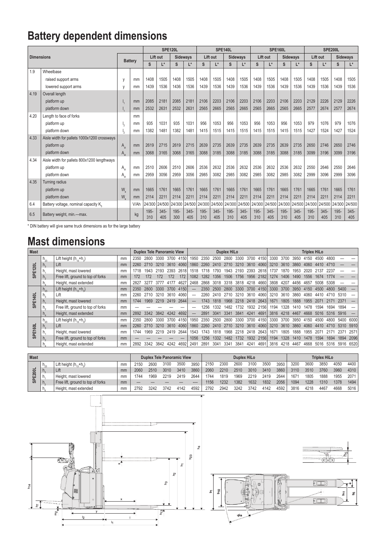## **Battery dependent dimensions**

|                   |                                             |              |                |             |                | <b>SPE120L</b> |                |             | SPE140L        |             |                 |                      | <b>SPE160L</b> |                 |                | <b>SPE200L</b> |                |             |                 |
|-------------------|---------------------------------------------|--------------|----------------|-------------|----------------|----------------|----------------|-------------|----------------|-------------|-----------------|----------------------|----------------|-----------------|----------------|----------------|----------------|-------------|-----------------|
| <b>Dimensions</b> |                                             |              |                |             | Lift out       |                | Sideways       |             | Lift out       |             | <b>Sideways</b> | Lift out             |                | <b>Sideways</b> |                | Lift out       |                |             | <b>Sideways</b> |
|                   |                                             |              | <b>Battery</b> |             | L*             | S              | $L^*$          | S           | L*             | S           | I*              | S                    | L*             | S               | L*             | S              | L*             | S           | $L^*$           |
| 1.9               | Wheelbase                                   |              |                |             |                |                |                |             |                |             |                 |                      |                |                 |                |                |                |             |                 |
|                   | raised support arms                         | y            | mm             | 1408        | 1505           | 1408           | 1505           | 1408        | 1505           | 1408        | 1505            | 1408                 | 1505           | 1408            | 1505           | 1408           | 1505           | 1408        | 1505            |
|                   | lowered support arms                        | y            | mm             | 1439        | 1536           | 1436           | 1536           | 1439        | 1536           | 1439        | 1536            | 1439                 | 1536           | 1439            | 1536           | 1439           | 1536           | 1439        | 1536            |
| 4.19              | Overall length                              |              |                |             |                |                |                |             |                |             |                 |                      |                |                 |                |                |                |             |                 |
|                   | platform up                                 |              | mm             | 2085        | 2181           | 2085           | 2181           | 2106        | 2203           | 2106        | 2203            | 2106                 | 2203           | 2106            | 2203           | 2129           | 2226           | 2129        | 2226            |
|                   | platform down                               |              | mm             | 2532        | 2631           | 2532           | 2631           | 2565        | 2665           | 2565        | 2665            | 2565                 | 2665           | 2565            | 2665           | 2577           | 2674           | 2577        | 2674            |
| 4.20              | Length to face of forks                     |              | mm             |             |                |                |                |             |                |             |                 |                      |                |                 |                |                |                |             |                 |
|                   | platform up                                 |              | mm             | 935         | 1031           | 935            | 1031           | 956         | 1053           | 956         | 1053            | 956                  | 1053           | 956             | 1053           | 979            | 1076           | 979         | 1076            |
|                   | platform down                               |              | mm             | 1382        | 1481           | 1382           | 1481           | 1415        | 1515           | 1415        | 1515            | 1415                 | 1515           | 1415            | 1515           | 1427           | 1524           | 1427        | 1524            |
| 4.33              | Aisle width for pallets 1000x1200 crossways |              |                |             |                |                |                |             |                |             |                 |                      |                |                 |                |                |                |             |                 |
|                   | platform up                                 | $A_{\rm et}$ | mm             | 2619        | 2715           | 2619           | 2715           | 2639        | 2735           | 2639        | 2735            | 2639                 | 2735           | 2639            | 2735           | 2650           | 2746           | 2650        | 2746            |
|                   | platform down                               | $A_{\rm et}$ | mm             | 3068        | 3165           | 3068           | 3165           | 3088        | 3185           | 3088        | 3185            | 3088                 | 3185           | 3088            | 3185           | 3099           | 3196           | 3099        | 3196            |
| 4.34              | Aisle width for pallets 800x1200 lengthways |              |                |             |                |                |                |             |                |             |                 |                      |                |                 |                |                |                |             |                 |
|                   | platform up                                 | $A_{\rm st}$ | mm             | 2510        | 2606           | 2510           | 2606           | 2536        | 2632           | 2536        | 2632            | 2536                 | 2632           | 2536            | 2632           | 2550           | 2646           | 2550        | 2646            |
|                   | platform down                               | $A_{\rm st}$ | mm             | 2959        | 3056           | 2959           | 3056           | 2985        | 3082           | 2985        | 3082            | 2985                 | 3082           | 2985            | 3082           | 2999           | 3096           | 2999        | 3096            |
| 4.35              | <b>Turning radius</b>                       |              |                |             |                |                |                |             |                |             |                 |                      |                |                 |                |                |                |             |                 |
|                   | platform up                                 | W,           | mm             | 1665        | 1761           | 1665           | 1761           | 1665        | 1761           | 1665        | 1761            | 1665                 | 1761           | 1665            | 1761           | 1665           | 1761           | 1665        | 1761            |
|                   | platform down                               | W.           | mm             | 2114        | 2211           | 2114           | 2211           | 2114        | 2211           | 2114        | 2211            | 2114                 | 2211           | 2114            | 2211           | 2114           | 2211           | 2114        | 2211            |
| 6.4               | Battery voltage, nominal capacity K.        |              | V/Ah           | 24/300      | 24/500         | 24/300         | 24/500         | 24/300      | 24/500 24/300  |             |                 | 24/500 24/300 24/500 |                | 24/300          | 24/500         | 24/300         | 24/500         | 24/300      | 24/500          |
| 6.5               | Battery weight, min.-max.                   |              | kg             | 195-<br>310 | $345 -$<br>405 | 195-<br>300    | $345 -$<br>405 | 195-<br>310 | $345 -$<br>405 | 195-<br>310 | $345 -$<br>405  | 195-<br>310          | $345 -$<br>405 | 195-<br>310     | $345 -$<br>405 | 195-<br>310    | $345 -$<br>405 | 195-<br>310 | $345 -$<br>405  |

\* DIN battery will give same truck dimensions as for the large battery

### **Mast dimensions**

| <b>Mast</b>             |                             |                                   |    | <b>Duplex Tele Panoramic View</b> |      |      |           |      | Duplex HiLo |       |      |      |      |                |       |      | <b>Triplex HiLo</b> |      |      |      |      |           |      |  |
|-------------------------|-----------------------------|-----------------------------------|----|-----------------------------------|------|------|-----------|------|-------------|-------|------|------|------|----------------|-------|------|---------------------|------|------|------|------|-----------|------|--|
|                         | $h_{23}$                    | Lift height $(h, +h)$             | mm | 2350                              | 2800 | 3300 | 3700      | 4150 | 1950        | 2350  | 2500 | 2800 | 3300 | 3700           | 4150  | 3300 | 3700                | 3950 | 4150 | 4500 |      |           |      |  |
| 20L                     | $\Pi_{2}$                   | Lift                              | mm | 2260                              |      | 3210 | 3610      | 4060 | 1860        | 2260  | 2410 | 2710 | 3210 | 3610           | 4060  | 3210 | 3610                | 3860 | 4060 |      |      |           |      |  |
| SPE1                    | п.                          | Height, mast lowered              | mm | 1718                              | 1943 | 2193 | 2393      | 2618 | 1518        | 1718  | 1793 | 1943 | 2193 | 2393           | 2618  | 1737 | 1870                | 1953 |      |      |      |           |      |  |
|                         | $n_{\circ}$                 | Free lift, ground to top of forks | mm | 172                               | 172  | 172  | 172       | 172  | 1082        | 1282  | 1356 | 1506 | 1756 | 1956           | 2182  | 1274 | 1406                | 1490 | 1556 |      |      |           |      |  |
|                         |                             | Height, mast extended             | mm | 2827                              | 3277 | 3777 | 4177      | 4627 | 2468        | 2868  | 3018 | 3318 | 3818 | 4218           | 4660  | 3808 | 4207                | 4456 | 4657 | 5008 | 5308 |           |      |  |
|                         | $h_{23}$                    | Lift height $(h_{13}+h_3)$        | mm | 2350                              | 2800 | 3300 | 3700      | 4150 |             | 2350  | 2500 | 2800 | 3300 | 3700           | 4150  | 3300 | 3700                | 3950 | 4150 | 4500 |      | 5400      |      |  |
| $\overline{\mathbf{r}}$ | $\mathsf{\Pi}_{\mathtt{Q}}$ | Lift                              | mm | 2260                              | 2710 | 3210 | 3610      | 4060 |             | 2260. | 2410 | 2710 | 3210 | 3610           | 40601 | 3210 | 3610                | 3860 | 4060 | 4410 |      | 5310      |      |  |
| 접                       | n.                          | Height, mast lowered              | mm | 1744                              | 1969 | 2219 | 2419 2644 |      |             | 1743  | 1818 | 1968 |      | 2218 2418 2643 |       | 1671 | 1805                | 1888 | 1955 | 2071 | 2171 | 2371      |      |  |
| ဖာ                      | п.                          | Free lift, ground to top of forks | mm |                                   |      |      |           |      |             | 1256  | 1332 | 1482 | 1732 | 1932           | 2156  | 1194 | 1328                | 1410 | 1478 | 1594 | 1694 | 1894      |      |  |
|                         |                             | Height, mast extended             | mm | 2892                              | 3342 | 3842 | 4242      | 4692 |             | 2891  | 3041 | 3341 | 3841 | 4241           | 4691  | 3816 | 4218                | 4467 | 4668 | 5016 | 5316 | 5916      |      |  |
|                         | $n_{23}$                    | Lift height $(h_{12}+h_{2})$      | mm | 2350                              | 2800 | 3300 | 3700      | 4150 | 1950        | 2350  | 2500 | 2800 | 3300 | 3700           | 4150  | 3300 | 3700                | 3950 | 4150 | 4500 | 4800 | 5400      | 6000 |  |
| 60L                     |                             | Lift                              | mm | 2260                              |      | 3210 | 3610      | 4060 | 1860        | 2260  | 2410 | 2710 | 3210 | 3610           | 4060  | 3210 | 3610                | 3860 | 4060 | 4410 | 4710 | 5310      | 5910 |  |
| 핀                       |                             | Height, mast lowered              | mm | 1744                              | 1969 | 2219 | 2419      | 2644 | 1543        | 1743  | 1818 | 1968 | 2218 | 2418           | 2643  | 167' | 1805                | 1888 | 1955 |      |      |           | 257' |  |
| င္ဟ                     |                             | Free lift, ground to top of forks | mm |                                   |      |      |           |      | 1056        | 1256  | 1332 | 1482 | 1732 | 1932           | 2156  | 1194 | 1328                | 1410 | 1478 | 1594 | 1694 | 1894      | 2096 |  |
|                         |                             | Height, mast extended             | mm | 2892                              | 3342 | 3842 | 4242      | 4692 | 2491        | 2891  | 3041 | 3341 | 3841 | 4241           | 4691  | 3816 | 4218                | 4467 | 4668 | 5016 | 5316 | 5916 6520 |      |  |

| <b>Mast</b>                |              |                                   |    |      | <b>Duplex Tele Panoramic View</b> |      |      |      |      |      | <b>Duplex HiLo</b> |      | <b>Triplex HiLo</b> |      |      |      |      |      |      |
|----------------------------|--------------|-----------------------------------|----|------|-----------------------------------|------|------|------|------|------|--------------------|------|---------------------|------|------|------|------|------|------|
| ಕ<br>0<br>$\sim$<br>ш<br>ഄ | $n_{23}$     | Lift height $(h_{12}+h_{2})$      | mm | ?150 | 2600                              | 3100 | 3500 | 3950 | 2150 | 2300 | 2600               | 3100 | 3500                | 3950 | 3200 | 3600 | 3850 | 4050 | 4400 |
|                            | $h_{\alpha}$ | Lift                              | mm | 2060 | 2510                              | 3010 | 3410 | 3860 | 2060 | 2210 | 2510               | 3010 | 3410                | 3860 | 3110 | 3510 | 3760 | 3960 | 4310 |
|                            |              | Height, mast lowered              | mm | 744  | 1969                              | 2219 | 2419 | 2644 | '744 | 1819 | 1969               | 2219 | 2419                | 2644 | 167  | 1805 | 1888 | 1955 | 2071 |
|                            | $h_{\alpha}$ | Free lift, ground to top of forks | mm |      |                                   |      |      |      | 156  | 1232 | 1382               | 1632 | 1832                | 2056 | 1094 | 1228 | 1310 | 1378 | 1494 |
|                            | h.           | Height, mast extended             | mm | 2792 | 3242                              | 3742 | 4142 | 4592 | 2792 | 2942 | 3242               | 3742 | 4142                | 4592 | 3816 | 4218 | 4467 | 4668 | 5016 |